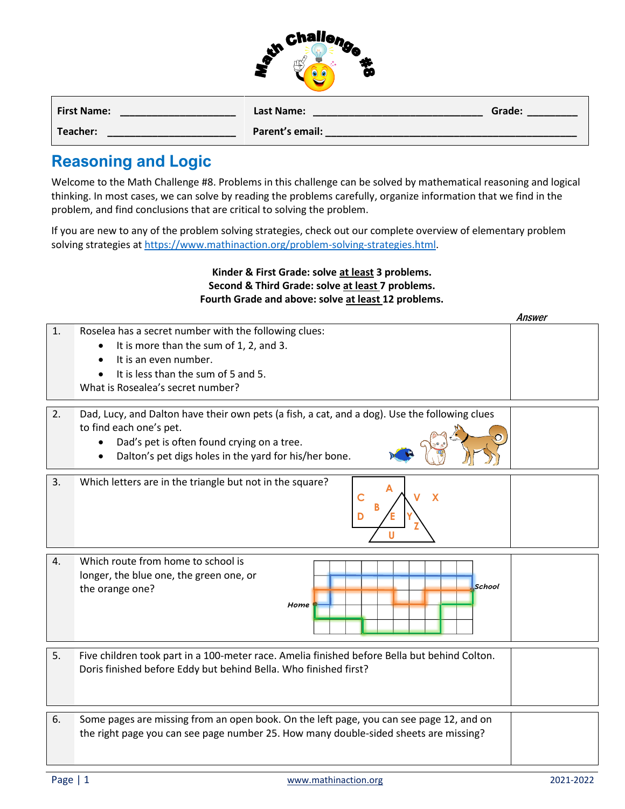|     | Challenge |  |
|-----|-----------|--|
| AL. |           |  |
|     |           |  |

| <b>First Name:</b> | Last Name:      | Grade: |
|--------------------|-----------------|--------|
| Teacher:           | Parent's email: |        |

## **Reasoning and Logic**

Welcome to the Math Challenge #8. Problems in this challenge can be solved by mathematical reasoning and logical thinking. In most cases, we can solve by reading the problems carefully, organize information that we find in the problem, and find conclusions that are critical to solving the problem.

If you are new to any of the problem solving strategies, check out our complete overview of elementary problem solving strategies a[t https://www.mathinaction.org/problem-solving-strategies.html.](https://www.mathinaction.org/problem-solving-strategies.html)

## **Kinder & First Grade: solve at least 3 problems. Second & Third Grade: solve at least 7 problems. Fourth Grade and above: solve at least 12 problems.**

|    |                                                                                                                                                                                                                                              | Answer |
|----|----------------------------------------------------------------------------------------------------------------------------------------------------------------------------------------------------------------------------------------------|--------|
| 1. | Roselea has a secret number with the following clues:<br>It is more than the sum of 1, 2, and 3.<br>It is an even number.<br>It is less than the sum of 5 and 5.<br>$\bullet$<br>What is Rosealea's secret number?                           |        |
| 2. | Dad, Lucy, and Dalton have their own pets (a fish, a cat, and a dog). Use the following clues<br>to find each one's pet.<br>Dad's pet is often found crying on a tree.<br>Dalton's pet digs holes in the yard for his/her bone.<br>$\bullet$ |        |
| 3. | Which letters are in the triangle but not in the square?<br>$\mathsf{C}$<br>x<br>D                                                                                                                                                           |        |
| 4. | Which route from home to school is<br>longer, the blue one, the green one, or<br>School<br>the orange one?<br>Home                                                                                                                           |        |
| 5. | Five children took part in a 100-meter race. Amelia finished before Bella but behind Colton.<br>Doris finished before Eddy but behind Bella. Who finished first?                                                                             |        |
| 6. | Some pages are missing from an open book. On the left page, you can see page 12, and on<br>the right page you can see page number 25. How many double-sided sheets are missing?                                                              |        |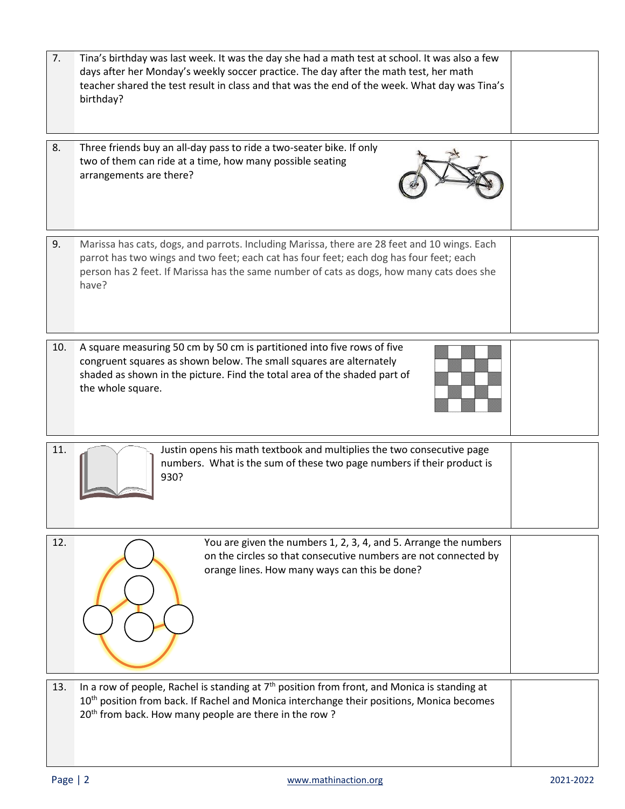| 7.  | Tina's birthday was last week. It was the day she had a math test at school. It was also a few<br>days after her Monday's weekly soccer practice. The day after the math test, her math<br>teacher shared the test result in class and that was the end of the week. What day was Tina's<br>birthday? |  |
|-----|-------------------------------------------------------------------------------------------------------------------------------------------------------------------------------------------------------------------------------------------------------------------------------------------------------|--|
| 8.  | Three friends buy an all-day pass to ride a two-seater bike. If only<br>two of them can ride at a time, how many possible seating<br>arrangements are there?                                                                                                                                          |  |
| 9.  | Marissa has cats, dogs, and parrots. Including Marissa, there are 28 feet and 10 wings. Each<br>parrot has two wings and two feet; each cat has four feet; each dog has four feet; each<br>person has 2 feet. If Marissa has the same number of cats as dogs, how many cats does she<br>have?         |  |
| 10. | A square measuring 50 cm by 50 cm is partitioned into five rows of five<br>congruent squares as shown below. The small squares are alternately<br>shaded as shown in the picture. Find the total area of the shaded part of<br>the whole square.                                                      |  |
| 11. | Justin opens his math textbook and multiplies the two consecutive page<br>numbers. What is the sum of these two page numbers if their product is<br>930?                                                                                                                                              |  |
| 12. | You are given the numbers 1, 2, 3, 4, and 5. Arrange the numbers<br>on the circles so that consecutive numbers are not connected by<br>orange lines. How many ways can this be done?                                                                                                                  |  |
| 13. | In a row of people, Rachel is standing at 7 <sup>th</sup> position from front, and Monica is standing at<br>10 <sup>th</sup> position from back. If Rachel and Monica interchange their positions, Monica becomes<br>20 <sup>th</sup> from back. How many people are there in the row?                |  |